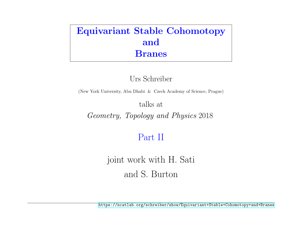## Equivariant Stable Cohomotopy and Branes

Urs Schreiber

(New York University, Abu Dhabi & Czech Academy of Science, Prague)

talks at

Geometry, Topology and Physics 2018

## Part II

joint work with H. Sati and S. Burton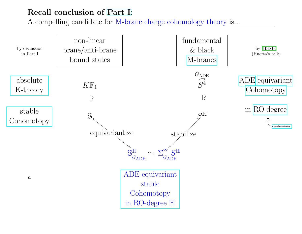## Recall conclusion of [Part I](https://ncatlab.org/schreiber/show/Equivariant+Stable+Cohomotopy+and+Branes):

A compelling candidate for M-brane charge cohomology theory is...

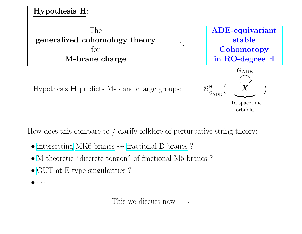<span id="page-2-0"></span>

Hypothesis  $H$  predicts M-brane charge groups:

 $\mathbb H$  $G_{\mathrm{ADE}}$  $\left($  $\overline{X}$  $\overline{a}$  $\mathcal{L}$ 

11d spacetime orbifold

How does this compare to / clarify folklore of [perturbative string theory:](https://ncatlab.org/nlab/show/string+theory)

- [intersecting](https://ncatlab.org/nlab/show/intersecting+D-brane+model) [MK6-branes](https://ncatlab.org/nlab/show/Kaluza-Klein+monopole)  $\rightsquigarrow$  [fractional D-branes](https://ncatlab.org/nlab/show/fractional+D-brane) ?
- [M-theoretic](https://ncatlab.org/nlab/show/M-theory) ["discrete torsion"](https://ncatlab.org/nlab/show/discrete+torsion) of fractional M5-branes?
- [GUT](https://ncatlab.org/nlab/show/GUT) at [E-type singularities](https://ncatlab.org/nlab/show/ADE+singularity) ?
- $\bullet\;\cdot\;\cdot\;\cdot$

This we discuss now  $\longrightarrow$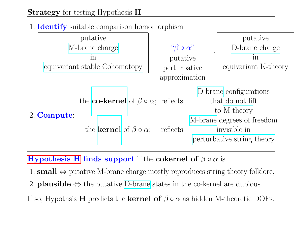#### 1. **Identify** suitable comparison homomorphism

|             | putative                                                |                         |                                            | putative                   |  |
|-------------|---------------------------------------------------------|-------------------------|--------------------------------------------|----------------------------|--|
|             | M-brane charge                                          | $``\beta \circ \alpha"$ |                                            | D-brane charge             |  |
|             | $\ln$                                                   | putative                |                                            | in<br>equivariant K-theory |  |
|             | equivariant stable Cohomotopy                           |                         | perturbative                               |                            |  |
|             | approximation                                           |                         |                                            |                            |  |
|             |                                                         |                         | D-brane configurations<br>that do not lift |                            |  |
|             | the <b>co-kernel</b> of $\beta \circ \alpha$ ; reflects |                         |                                            |                            |  |
|             |                                                         |                         | to M-theory                                |                            |  |
| 2. Compute: |                                                         |                         | M-brane degrees of freedom                 |                            |  |
|             | the <b>kernel</b> of $\beta \circ \alpha$ ;             | reflects                | invisible in<br>perturbative string theory |                            |  |
|             |                                                         |                         |                                            |                            |  |
|             |                                                         |                         |                                            |                            |  |

**[Hypothesis H](#page-2-0) finds support** if the **cokernel of**  $\beta \circ \alpha$  is

1. **small**  $\Leftrightarrow$  putative M-brane charge mostly reproduces string theory folklore,

2. **plausible**  $\Leftrightarrow$  the putative [D-brane](https://ncatlab.org/nlab/show/D-brane) states in the co-kernel are dubious.

If so, Hypothsis **H** predicts the **kernel of**  $\beta \circ \alpha$  as hidden M-theoretic DOFs.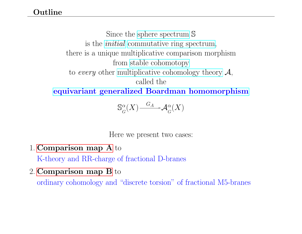Since the [sphere spectrum](https://ncatlab.org/nlab/show/sphere+spectrum) S is the [initial](https://ncatlab.org/nlab/show/terminal+object+in+a+quasi-category) [commutative ring spectrum,](https://ncatlab.org/nlab/show/E-infinity-ring) there is a unique multiplicative comparison morphism from [stable cohomotopy](https://ncatlab.org/nlab/show/stable+cohomotopy) to every other [multiplicative cohomology theory](https://ncatlab.org/nlab/show/multiplicative+cohomology+theory)  $\mathcal{A}$ , called the [equivariant generalized Boardman homomorphism](https://ncatlab.org/nlab/show/Boardman+homomorphism)

> $\mathbb{S}^{\alpha}$  $\frac{\alpha _G}{G}(X) \frac{G_A}{\longrightarrow} {\cal A}^\alpha _G (X)$

Here we present two cases:

1. [Comparison map A](#page-5-0) to

K-theory and RR-charge of fractional D-branes

2. [Comparison map B](#page-17-0) to

ordinary cohomology and "discrete torsion" of fractional M5-branes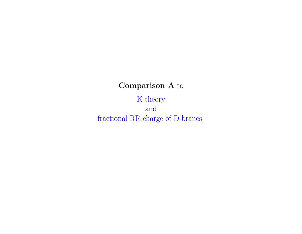## Comparison A to

# K-theory

<span id="page-5-0"></span>and fractional RR-charge of D-branes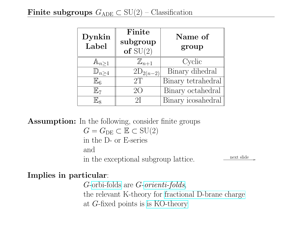| Dynkin<br>Label        | Finite<br>subgroup<br>of $SU(2)$ | Name of<br>group   |  |  |  |
|------------------------|----------------------------------|--------------------|--|--|--|
| $\mathbb{A}_{n\geq 1}$ | $\mathbb{Z}_{n+1}$               | Cyclic             |  |  |  |
| $\mathbb{D}_{n\geq 4}$ | $2D_{2(n-2)}$                    | Binary dihedral    |  |  |  |
| $\mathbb{E}_6$         | 2T                               | Binary tetrahedral |  |  |  |
| $\mathbb{E}_7$         | 2()                              | Binary octahedral  |  |  |  |
| $\mathbb{E}_8$         | 2I                               | Binary icosahedral |  |  |  |

Assumption: In the following, consider finite groups

 $G = G_{DE} \subset \mathbb{E} \subset \mathrm{SU}(2)$ in the D- or E-series and in the exceptional subgroup lattice.  $\frac{\text{next slide}}{\text{next side}}$ 

#### Implies in particular:

G[-orbi-folds](https://ncatlab.org/nlab/show/orbifold#ReferencesInStringTheory) are G-[orienti-folds](https://ncatlab.org/nlab/show/orientifold), the relevant K-theory for [fractional D-brane charge](https://ncatlab.org/nlab/show/fractional+D-brane) at G-fixed points is [is KO-theory](https://ncatlab.org/nlab/show/KO-theory)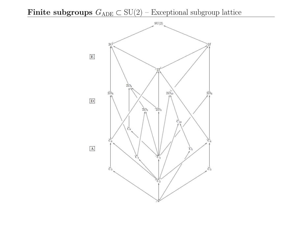## Finite subgroups  $G_{ADE} \subset SU(2)$  – Exceptional subgroup lattice

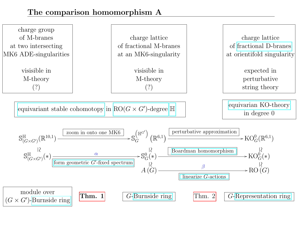#### The comparison homomorphism A

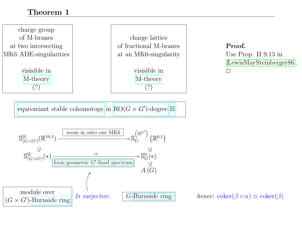#### <span id="page-9-0"></span>Theorem 1

charge group of M-branes at two intersecting MK6 ADE-singularities

> visisible in [M-theory](https://ncatlab.org/nlab/show/M-theory) (?)

charge lattice of fractional M-branes at an MK6-singularity

> visisible in [M-theory](https://ncatlab.org/nlab/show/M-theory) (?)

Proof. Use Prop. II 9.13 in [\[LewisMaySteinberger86\]](#page-24-1).  $\Box$ 

[equivariant stable cohomotopy](https://ncatlab.org/nlab/show/equivariant+stable+cohomotopy) in  $RO(G \times G')$ -degree  $\mathbb H$  $\mathbb H$ 



G[-Burnside ring](https://ncatlab.org/nlab/show/Burnside+ring) hence:  $\text{coker}(\beta \circ \alpha) \simeq \text{coker}(\beta)$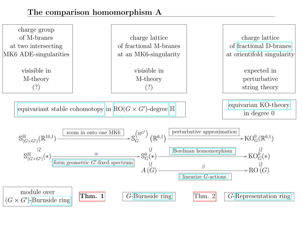#### The comparison homomorphism A

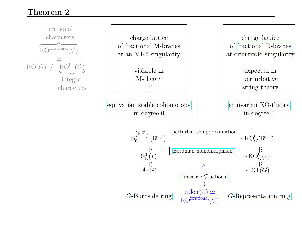#### Theorem 2

<span id="page-11-0"></span>

 $RO<sup>irrational</sup>(G)$ G[-Representation ring](https://ncatlab.org/nlab/show/representation+ring)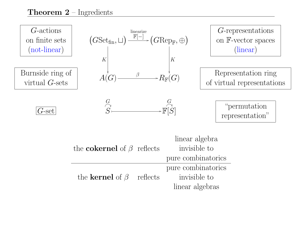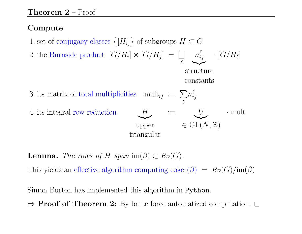### Compute:

- 1. set of conjugacy classes  $\{[H_i]\}$  of subgroups  $H \subset G$
- 2. the Burnside product  $[G/H_i] \times [G/H_j] = \bigsqcup$  $\ell$  $n_i^{\ell}$  $_{ij}^\ell$   $\, \cdot \, [G/H_\ell]$

 $\sum_{\text{violet}}$ structure constants

· mult

- 3. its matrix of total multiplicities mult<sub>ij</sub> :=  $\sum$  $\ell$  $n_i^{\ell}$ ij
- 4. its integral row reduction

 $\sum_{\text{max}}$ upper triangular  $H$   $\leq U$  $\in$  GL $(N, \mathbb{Z})$ 

**Lemma.** The rows of H span im( $\beta$ )  $\subset R_{\mathbb{F}}(G)$ .

This yields an effective algorithm computing coker( $\beta$ ) =  $R_{\mathbb{F}}(G)/\text{im}(\beta)$ 

Simon Burton has implemented this algorithm in Python.

 $\Rightarrow$  **Proof of Theorem 2:** By brute force automatized computation.  $\Box$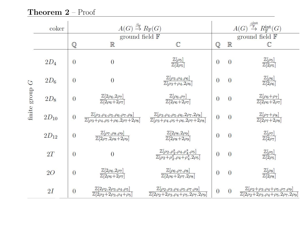## Theorem 2 - Proof

|               | coker     | $A(G) \stackrel{\beta_{\mathbb{F}}}{\rightarrow} R_{\mathbb{F}}(G)$ |                                                                                                                         |                                                                                                                           | $A(G) \stackrel{\beta^{\rm int}_{\mathbb{F}}}{\to} R^{\rm int}_{\mathbb{F}}(G)$ |                          |                                                                                                                           |  |
|---------------|-----------|---------------------------------------------------------------------|-------------------------------------------------------------------------------------------------------------------------|---------------------------------------------------------------------------------------------------------------------------|---------------------------------------------------------------------------------|--------------------------|---------------------------------------------------------------------------------------------------------------------------|--|
|               |           |                                                                     | ground field $\mathbb F$                                                                                                |                                                                                                                           |                                                                                 | ground field $\mathbb F$ |                                                                                                                           |  |
|               |           | Q                                                                   | $\mathbb{R}$                                                                                                            | $\mathbb{C}$                                                                                                              | $\mathbb{Q}$                                                                    | $\mathbb R$              | $\mathbb{C}$                                                                                                              |  |
|               | $2D_4$    | $\overline{0}$                                                      | $\overline{0}$                                                                                                          | $\frac{\mathbb{Z}[\rho_5]}{\mathbb{Z}[2\rho_5]}$                                                                          | $\overline{0}$                                                                  | $\Omega$                 | $\frac{\mathbb{Z}[\rho_5]}{\mathbb{Z}[2\rho_5]}$                                                                          |  |
| $\mathcal{C}$ | $2D_6$    | $\overline{0}$                                                      | $\overline{0}$                                                                                                          | $\frac{\mathbb{Z}[\rho_3,\rho_4,\rho_6]}{\mathbb{Z}[\rho_3+\rho_4,2\rho_6]}$                                              | $\overline{0}$                                                                  | $\overline{0}$           | $\frac{\mathbb{Z}[\rho_6]}{\mathbb{Z}[2\rho_6]}$                                                                          |  |
| finite group  | $2D_8$    | $\overline{0}$                                                      | $\frac{\mathbb{Z}[2\rho_6,2\rho_7]}{\mathbb{Z}[2\rho_6+2\rho_7]}$                                                       | $\frac{\mathbb{Z}[\rho_6,\rho_7]}{\mathbb{Z}[2\rho_6+2\rho_7]}$                                                           | $\overline{0}$                                                                  | $\overline{0}$           | $\frac{\mathbb{Z}[\rho_6+\rho_7]}{\mathbb{Z}[2\rho_6+2\rho_7]}$                                                           |  |
|               | $2D_{10}$ | $\overline{0}$                                                      | $\frac{\mathbb{Z}[\rho_3,\rho_4,\rho_5,\rho_6,\rho_7,\rho_8]}{\mathbb{Z}[\rho_3+\rho_4,\rho_5+\rho_6,2\rho_7+2\rho_8]}$ | $\frac{\mathbb{Z}[\rho_3,\rho_4,\rho_5,\rho_6,2\rho_7,2\rho_8]}{\mathbb{Z}[\rho_3+\rho_4,\rho_5+\rho_6,2\rho_7+2\rho_8]}$ | $\overline{0}$                                                                  | $\overline{0}$           | $\frac{\mathbb{Z}[\rho_7+\rho_8]}{\mathbb{Z}[2\rho_7+2\rho_8]}$                                                           |  |
|               | $2D_{12}$ | $\overline{0}$                                                      | $\frac{\mathbb{Z}[\rho_7,\rho_8,\rho_9]}{\mathbb{Z}[2\rho_7,2\rho_8+2\rho_9]}$                                          | $\frac{\mathbb{Z}[2\rho_8, 2\rho_9]}{\mathbb{Z}[2\rho_8 + 2\rho_9]}$                                                      | $\overline{0}$                                                                  | $\overline{0}$           | $\frac{\mathbb{Z}[\rho_7]}{\mathbb{Z}[2\rho_7]}$                                                                          |  |
|               | 2T        | $\overline{0}$                                                      | $\overline{0}$                                                                                                          | $\frac{\mathbb{Z}[\rho_2,\rho_2^*,\rho_4,\rho_4^*,\rho_5]}{\mathbb{Z}[\rho_2+\rho_2^*,\rho_4+\rho_4^*,2\rho_5]}$          | $\overline{0}$                                                                  | $\overline{0}$           | $\frac{\mathbb{Z}[\rho_5]}{\mathbb{Z}[2\rho_5]}$                                                                          |  |
|               | 2O        | $\overline{0}$                                                      | $\frac{\mathbb{Z}[2\rho_6,2\rho_7]}{\mathbb{Z}[2\rho_6+2\rho_7]}$                                                       | $\frac{\mathbb{Z}[\rho_6,\rho_7,\rho_8]}{\mathbb{Z}[2\rho_6+2\rho_7,2\rho_8]}$                                            | $\overline{0}$                                                                  | $\overline{0}$           | $\frac{\mathbb{Z}[\rho_8]}{\mathbb{Z}[2\rho_8]}$                                                                          |  |
|               | 2I        | $\overline{0}$                                                      | $\frac{\mathbb{Z}[2\rho_2,2\rho_3,\rho_4,\rho_5]}{\mathbb{Z}[2\rho_2+2\rho_3,\rho_4+\rho_5]}$                           | $\frac{\mathbb{Z}[\rho_2,\rho_3,\rho_4,\rho_5,\rho_7,\rho_9]}{\mathbb{Z}[2\rho_2+2\rho_3,\rho_4+\rho_5,2\rho_7,2\rho_9]}$ | $\overline{0}$                                                                  | $\overline{0}$           | $\frac{\mathbb{Z}[\rho_2+\rho_3,\rho_4+\rho_5,\rho_7,\rho_9]}{\mathbb{Z}[2\rho_2+2\rho_3,\rho_4+\rho_5,2\rho_7,2\rho_9]}$ |  |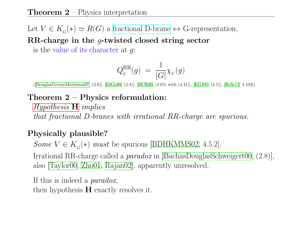#### **Theorem 2** – Physics interpretation

Let  $V \in K_G(*) \simeq R(G)$  a [fractional D-brane](https://ncatlab.org/nlab/show/fractional+D-brane)  $\leftrightarrow$  G-representation,

RR-charge in the g-twisted closed string sector

is the value of its character at  $g$ :

$$
Q_V^{\rm RR}(g) = \frac{1}{|G|} \chi_V(g)
$$

([\[DouglasGreeneMorrisson97,](#page-23-0) (3.8)], [\[DiGo00,](#page-23-1) (2.4)], [\[BCR00,](#page-22-0) (4.65) with (4.41)], [\[EGJ05,](#page-23-2) (4.5)], [\[ReSc13,](#page-25-0) 4.102])

#### Theorem 2 – Physics reformulation:

[Hypothesis](#page-2-0) H implies that fractional D-branes with irrational RR-charge are spurious.

#### Physically plausible?

Some  $V \in K_G(*)$  must be spurious [\[BDHKMMS02,](#page-22-1) 4.5.2].

Irrational RR-charge called a paradox in [\[BachasDouglasSchweigert00,](#page-22-2) (2.8)], also [\[Taylor00,](#page-25-1) [Zho01,](#page-26-0) [Rajan02\]](#page-25-2), apparently unresolved.

If this is indeed a paradox, then hypothesis  $H$  exactly resolves it.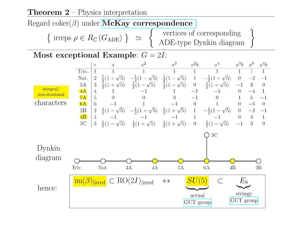#### **Theorem 2** – Physics interpretation

Regard coker( $\beta$ ) under **[McKay correspondence](https://ncatlab.org/nlab/show/McKay+correspondence)** :



#### Most exceptional Example:  $G = 2I$ :

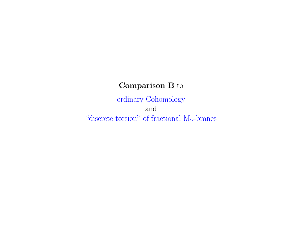## Comparison B to

<span id="page-17-0"></span>ordinary Cohomology and "discrete torsion" of fractional M5-branes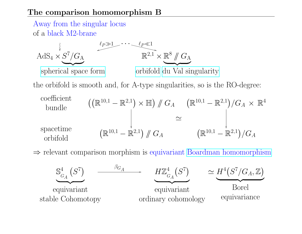#### The comparison homomorphism B

stable Cohomotopy



ordinary cohomology

equivariance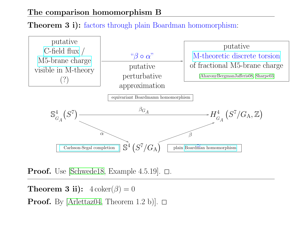#### The comparison homomorphism B

## **Theorem 3 i):** factors through plain Boardman homomorphism:



**Proof.** Use [\[Schwede18,](#page-25-4) Example 4.5.19].  $\Box$ .

**Theorem 3 ii):**  $4 \coker(\beta) = 0$ 

**Proof.** By [\[Arlettaz04,](#page-22-4) Theorem 1.2 b)].  $\Box$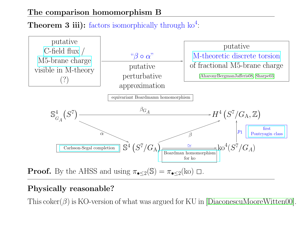#### The comparison homomorphism B

## **Theorem 3 iii):** factors isomorphically through  $k0^4$ :



## Physically reasonable?

This coker( $\beta$ ) is KO-version of what was argued for KU in [\[DiaconescuMooreWitten00\]](#page-23-3).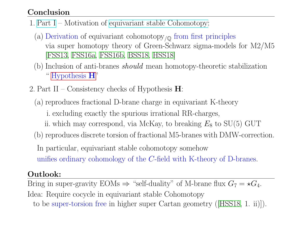#### Conclusion

- 1. [Part I](https://ncatlab.org/schreiber/show/Equivariant+Stable+Cohomotopy+and+Branes) Motivation of [equivariant stable Cohomotopy:](https://ncatlab.org/nlab/show/equivariant+stable+cohomotopy)
	- (a) Derivation of equivariant cohomotopy $\gamma_{\mathbb{Q}}$  from first principles via super homotopy theory of Green-Schwarz sigma-models for M2/M5 [\[FSS13,](#page-24-2) [FSS16a,](#page-24-3) [FSS16b,](#page-24-4) [BSS18,](#page-23-4) [HSS18\]](#page-24-0)
	- (b) Inclusion of anti-branes should mean homotopy-theoretic stabilization " [Hypothesis](#page-2-0) H"
- 2. Part II Consistency checks of Hypothesis  $\mathbf{H}$ :
	- (a) reproduces fractional D-brane charge in equivariant K-theory
		- i. excluding exactly the spurious irrational RR-charges,
		- ii. which may correspond, via McKay, to breaking  $E_8$  to  $SU(5)$  GUT
	- (b) reproduces discrete torsion of fractional M5-branes with DMW-correction.
	- In particular, equivariant stable cohomotopy somehow
	- unifies ordinary cohomology of the C-field with K-theory of D-branes.

#### Outlook:

Bring in super-gravity EOMs  $\Rightarrow$  "self-duality" of M-brane flux  $G_7 = \star G_4$ . Idea: Require cocycle in equivariant stable Cohomotopy to be super-torsion free in higher super Cartan geometry ([\[HSS18,](#page-24-0) 1. ii)]).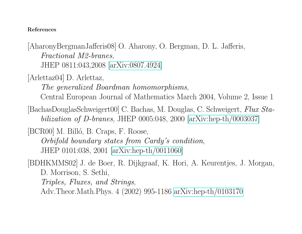#### References

<span id="page-22-3"></span>[AharonyBergmanJafferis08] O. Aharony, O. Bergman, D. L. Jafferis, Fractional M2-branes, JHEP 0811:043,2008 [\[arXiv:0807.4924\]](https://arxiv.org/abs/0807.4924)

<span id="page-22-4"></span>[Arlettaz04] D. Arlettaz,

The generalized Boardman homomorphisms,

Central European Journal of Mathematics March 2004, Volume 2, Issue 1

<span id="page-22-2"></span>[BachasDouglasSchweigert00] C. Bachas, M. Douglas, C. Schweigert, Flux Stabilization of D-branes, JHEP 0005:048, 2000 [\[arXiv:hep-th/0003037\]](https://arxiv.org/abs/hep-th/0003037)

<span id="page-22-0"></span>[BCR00] M. Billó, B. Craps, F. Roose,

Orbifold boundary states from Cardy's condition, JHEP 0101:038, 2001 [\[arXiv:hep-th/0011060\]](https://arxiv.org/abs/hep-th/0011060)

<span id="page-22-1"></span>[BDHKMMS02] J. de Boer, R. Dijkgraaf, K. Hori, A. Keurentjes, J. Morgan, D. Morrison, S. Sethi, Triples, Fluxes, and Strings,

Adv.Theor.Math.Phys. 4 (2002) 995-1186 [arXiv:hep-th/0103170](https://arxiv.org/abs/hep-th/0103170)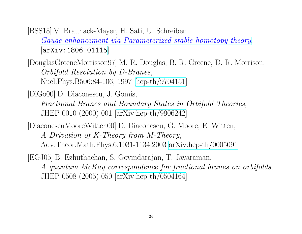<span id="page-23-4"></span>[BSS18] V. Braunack-Mayer, H. Sati, U. Schreiber [Gauge enhancement via Parameterized stable homotopy theory](https://ncatlab.org/schreiber/show/Gauge+enhancement+of+Super+M-Branes), [[arXiv:1806.01115](https://arxiv.org/abs/1806.01115)]

<span id="page-23-0"></span>[DouglasGreeneMorrisson97] M. R. Douglas, B. R. Greene, D. R. Morrison, Orbifold Resolution by D-Branes, Nucl.Phys.B506:84-106, 1997 [\[hep-th/9704151\]](https://arxiv.org/abs/hep-th/9704151)

<span id="page-23-1"></span>[DiGo00] D. Diaconescu, J. Gomis, Fractional Branes and Boundary States in Orbifold Theories, JHEP 0010 (2000) 001 [\[arXiv:hep-th/9906242\]](https://arxiv.org/abs/hep-th/9906242)

<span id="page-23-3"></span>[DiaconescuMooreWitten00] D. Diaconescu, G. Moore, E. Witten,

A Drivation of K-Theory from M-Theory, Adv.Theor.Math.Phys.6:1031-1134,2003 [arXiv:hep-th/0005091](https://arxiv.org/abs/hep-th/0005091)

<span id="page-23-2"></span>[EGJ05] B. Ezhuthachan, S. Govindarajan, T. Jayaraman, A quantum McKay correspondence for fractional branes on orbifolds, JHEP 0508 (2005) 050 [\[arXiv:hep-th/0504164\]](https://arxiv.org/abs/hep-th/0504164)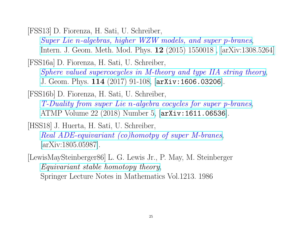<span id="page-24-2"></span>[FSS13] D. Fiorenza, H. Sati, U. Schreiber,

Super Lie n[-algebras, higher WZW models, and super](https://ncatlab.org/schreiber/show/The+brane+bouquet) p-branes, [Intern. J. Geom. Meth. Mod. Phys.](http://www.worldscientific.com/doi/abs/10.1142/S0219887815500188) 12 (2015) 1550018 , [\[arXiv:1308.5264\]](http://arxiv.org/abs/1308.5264)

<span id="page-24-3"></span>[FSS16a] D. Fiorenza, H. Sati, U. Schreiber,

[Sphere valued supercocycles in M-theory and type IIA string theory](https://ncatlab.org/schreiber/show/Rational+sphere+valued+supercocycles+in+M-theory), [J. Geom. Phys.](https://doi.org/10.1016/j.geomphys.2016.11.024) 114 (2017) 91-108, [[arXiv:1606.03206](https://arxiv.org/abs/1606.03206)].

<span id="page-24-4"></span>[FSS16b] D. Fiorenza, H. Sati, U. Schreiber, T-Duality from super Lie n[-algebra cocycles for super p-branes](https://ncatlab.org/schreiber/show/T-Duality+from+super+Lie+n-algebra+cocycles+for+super+p-branes), [ATMP Volume 22 \(2018\) Number 5,](http://www.intlpress.com/site/pub/pages/journals/items/atmp/content/vols/0022/0005/) [[arXiv:1611.06536](https://arxiv.org/abs/1611.06536)].

<span id="page-24-0"></span>[HSS18] J. Huerta, H. Sati, U. Schreiber,

[Real ADE-equivariant \(co\)homotpy of super M-branes](https://ncatlab.org/schreiber/show/Equivariant+homotopy+and+super+M-branes), [\[arXiv:1805.05987\]](https://arxiv.org/abs/1805.05987).

<span id="page-24-1"></span>[LewisMaySteinberger86] L. G. Lewis Jr., P. May, M. Steinberger [Equivariant stable homotopy theory](https://ncatlab.org/nlab/show/geometric+fixed+point+spectrum#LewisMaySteinberger86), Springer Lecture Notes in Mathematics Vol.1213. 1986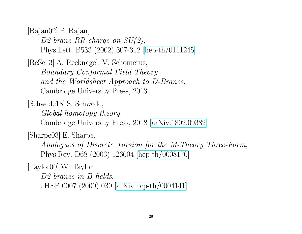<span id="page-25-2"></span>[Rajan02] P. Rajan,

D2-brane RR-charge on  $SU(2)$ , Phys.Lett. B533 (2002) 307-312 [\[hep-th/0111245\]](https://arxiv.org/abs/hep-th/0111245)

<span id="page-25-0"></span>[ReSc13] A. Recknagel, V. Schomerus, Boundary Conformal Field Theory and the Worldsheet Approach to D-Branes, Cambridge University Press, 2013

<span id="page-25-4"></span>[Schwede18] S. Schwede,

Global homotopy theory

Cambridge University Press, 2018 [\[arXiv:1802.09382\]](https://arxiv.org/abs/1802.09382)

<span id="page-25-3"></span>[Sharpe03] E. Sharpe,

Analogues of Discrete Torsion for the M-Theory Three-Form, Phys.Rev. D68 (2003) 126004 [\[hep-th/0008170\]](https://arxiv.org/abs/hep-th/0008170)

<span id="page-25-1"></span>[Taylor00] W. Taylor,

D2-branes in B fields, JHEP 0007 (2000) 039 [\[arXiv:hep-th/0004141\]](https://arxiv.org/abs/hep-th/0004141)